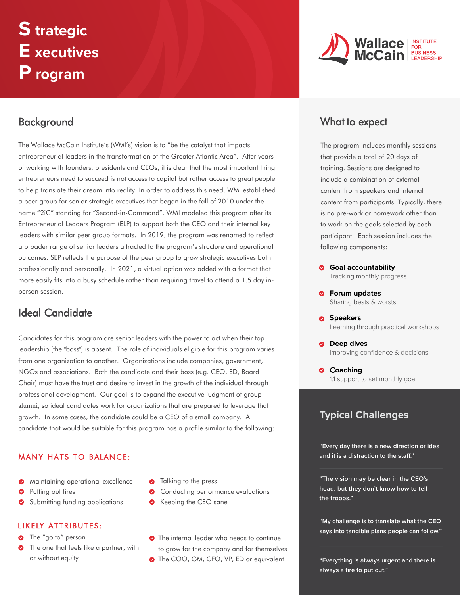# **S trategic E xecutives P rogram**

# **Background**

The Wallace McCain Institute's (WMI's) vision is to "be the catalyst that impacts entrepreneurial leaders in the transformation of the Greater Atlantic Area". After years of working with founders, presidents and CEOs, it is clear that the most important thing entrepreneurs need to succeed is not access to capital but rather access to great people to help translate their dream into reality. In order to address this need, WMI established a peer group for senior strategic executives that began in the fall of 2010 under the name "2iC" standing for "Second-in-Command". WMI modeled this program after its Entrepreneurial Leaders Program (ELP) to support both the CEO and their internal key leaders with similar peer group formats. In 2019, the program was renamed to reflect a broader range of senior leaders attracted to the program's structure and operational outcomes. SEP reflects the purpose of the peer group to grow strategic executives both professionally and personally. In 2021, a virtual option was added with a format that more easily fits into a busy schedule rather than requiring travel to attend a 1.5 day inperson session.

# Ideal Candidate

Candidates for this program are senior leaders with the power to act when their top leadership (the "boss") is absent. The role of individuals eligible for this program varies from one organization to another. Organizations include companies, government, NGOs and associations. Both the candidate and their boss (e.g. CEO, ED, Board Chair) must have the trust and desire to invest in the growth of the individual through professional development. Our goal is to expand the executive judgment of group alumni, so ideal candidates work for organizations that are prepared to leverage that growth. In some cases, the candidate could be a CEO of a small company. A candidate that would be suitable for this program has a profile similar to the following:

### MANY HATS TO BALANCE:

- **Maintaining operational excellence**
- Ø Putting out fires
- Submitting funding applications

### LIKELY ATTRIBUTES:

- The "go to" person
- **•** The one that feels like a partner, with or without equity
- **O** Talking to the press
- Conducting performance evaluations
- **S** Keeping the CEO sane
- **•** The internal leader who needs to continue to grow for the company and for themselves
- The COO, GM, CFO, VP, ED or equivalent



# What to expect

The program includes monthly sessions that provide a total of 20 days of training. Sessions are designed to include a combination of external content from speakers and internal content from participants. Typically, there is no pre-work or homework other than to work on the goals selected by each participant. Each session includes the following components:

- **Goal accountability** Tracking monthly progress
- **Forum updates** Sharing bests & worsts
- **Speakers**  Learning through practical workshops
- $\bullet$  Deep dives Improving confidence & decisions
- $\circ$  Coaching 1:1 support to set monthly goal

## **Typical Challenges**

**"Every day there is a new direction or idea and it is a distraction to the sta!."**

**"The vision may be clear in the CEO's head, but they don't know how to tell the troops."**

**"My challenge is to translate what the CEO says into tangible plans people can follow."**

**"Everything is always urgent and there is always a fire to put out."**